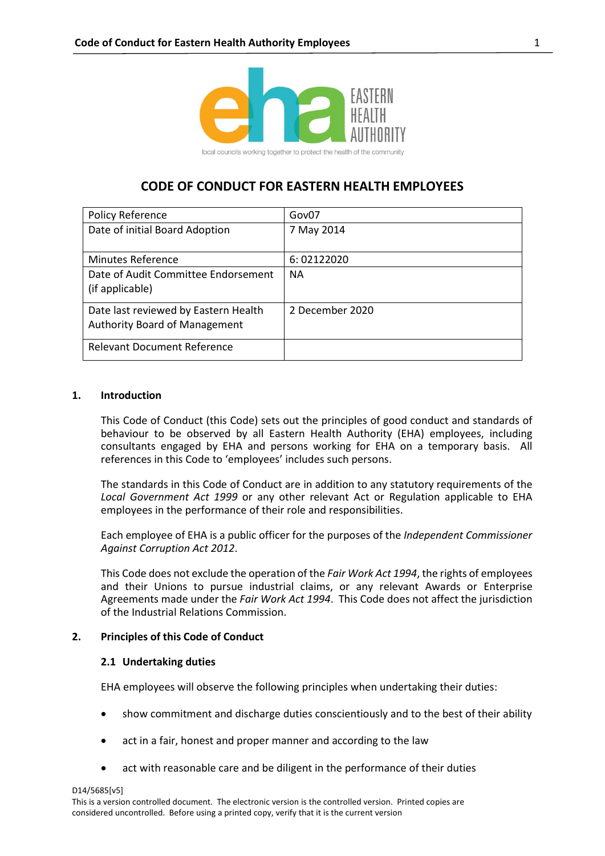

# **CODE OF CONDUCT FOR EASTERN HEALTH EMPLOYEES**

| Policy Reference                     | Gov07           |
|--------------------------------------|-----------------|
| Date of initial Board Adoption       | 7 May 2014      |
|                                      |                 |
| <b>Minutes Reference</b>             | 6:02122020      |
| Date of Audit Committee Endorsement  | <b>NA</b>       |
| (if applicable)                      |                 |
| Date last reviewed by Eastern Health | 2 December 2020 |
| <b>Authority Board of Management</b> |                 |
| <b>Relevant Document Reference</b>   |                 |

## **1. Introduction**

This Code of Conduct (this Code) sets out the principles of good conduct and standards of behaviour to be observed by all Eastern Health Authority (EHA) employees, including consultants engaged by EHA and persons working for EHA on a temporary basis. All references in this Code to 'employees' includes such persons.

The standards in this Code of Conduct are in addition to any statutory requirements of the *Local Government Act 1999* or any other relevant Act or Regulation applicable to EHA employees in the performance of their role and responsibilities.

Each employee of EHA is a public officer for the purposes of the *Independent Commissioner Against Corruption Act 2012*.

This Code does not exclude the operation of the *Fair Work Act 1994*, the rights of employees and their Unions to pursue industrial claims, or any relevant Awards or Enterprise Agreements made under the *Fair Work Act 1994*. This Code does not affect the jurisdiction of the Industrial Relations Commission.

## **2. Principles of this Code of Conduct**

## **2.1 Undertaking duties**

EHA employees will observe the following principles when undertaking their duties:

- show commitment and discharge duties conscientiously and to the best of their ability
- act in a fair, honest and proper manner and according to the law
- act with reasonable care and be diligent in the performance of their duties

D14/5685[v5]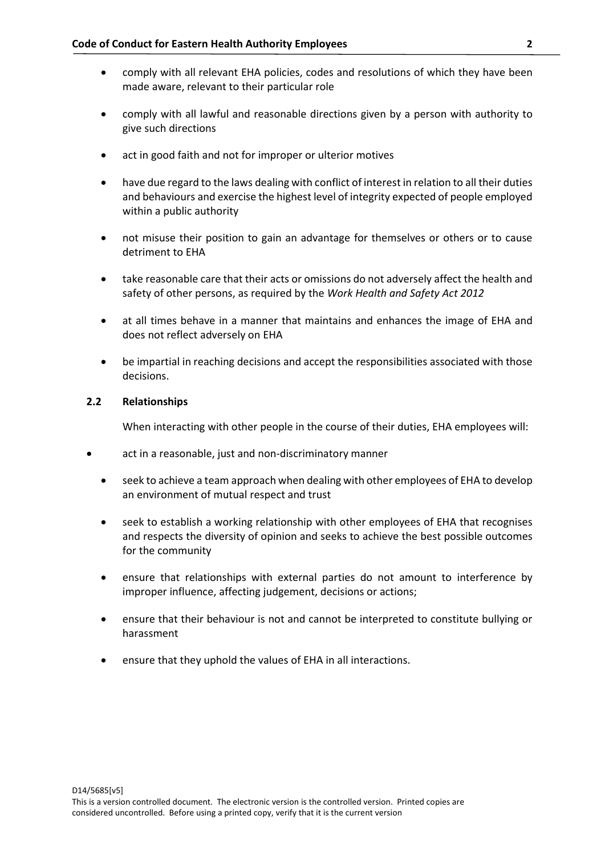- comply with all relevant EHA policies, codes and resolutions of which they have been made aware, relevant to their particular role
- comply with all lawful and reasonable directions given by a person with authority to give such directions
- act in good faith and not for improper or ulterior motives
- have due regard to the laws dealing with conflict of interest in relation to all their duties and behaviours and exercise the highest level of integrity expected of people employed within a public authority
- not misuse their position to gain an advantage for themselves or others or to cause detriment to EHA
- take reasonable care that their acts or omissions do not adversely affect the health and safety of other persons, as required by the *Work Health and Safety Act 2012*
- at all times behave in a manner that maintains and enhances the image of EHA and does not reflect adversely on EHA
- be impartial in reaching decisions and accept the responsibilities associated with those decisions.

## **2.2 Relationships**

When interacting with other people in the course of their duties, EHA employees will:

- act in a reasonable, just and non-discriminatory manner
	- seek to achieve a team approach when dealing with other employees of EHA to develop an environment of mutual respect and trust
	- seek to establish a working relationship with other employees of EHA that recognises and respects the diversity of opinion and seeks to achieve the best possible outcomes for the community
	- ensure that relationships with external parties do not amount to interference by improper influence, affecting judgement, decisions or actions;
	- ensure that their behaviour is not and cannot be interpreted to constitute bullying or harassment
	- ensure that they uphold the values of EHA in all interactions.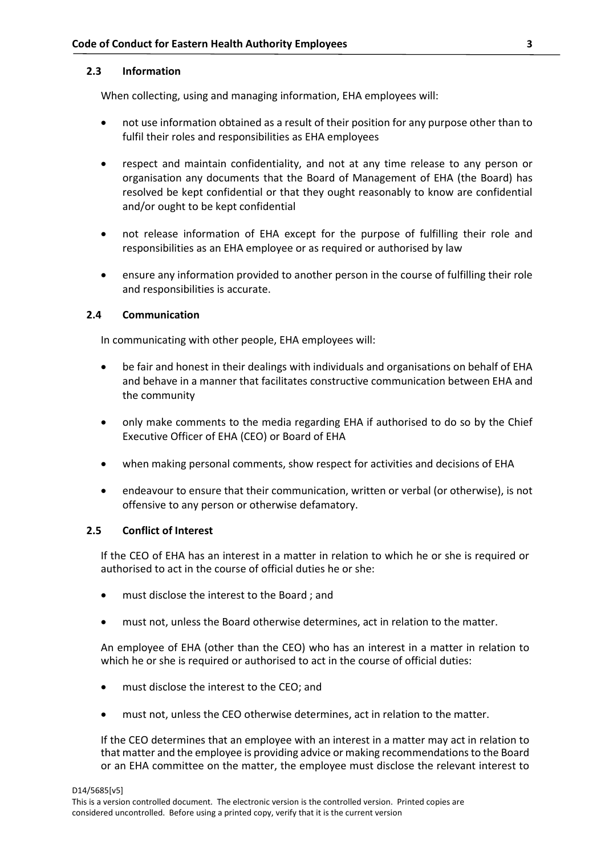## **2.3 Information**

When collecting, using and managing information, EHA employees will:

- not use information obtained as a result of their position for any purpose other than to fulfil their roles and responsibilities as EHA employees
- respect and maintain confidentiality, and not at any time release to any person or organisation any documents that the Board of Management of EHA (the Board) has resolved be kept confidential or that they ought reasonably to know are confidential and/or ought to be kept confidential
- not release information of EHA except for the purpose of fulfilling their role and responsibilities as an EHA employee or as required or authorised by law
- ensure any information provided to another person in the course of fulfilling their role and responsibilities is accurate.

## **2.4 Communication**

In communicating with other people, EHA employees will:

- be fair and honest in their dealings with individuals and organisations on behalf of EHA and behave in a manner that facilitates constructive communication between EHA and the community
- only make comments to the media regarding EHA if authorised to do so by the Chief Executive Officer of EHA (CEO) or Board of EHA
- when making personal comments, show respect for activities and decisions of EHA
- endeavour to ensure that their communication, written or verbal (or otherwise), is not offensive to any person or otherwise defamatory.

## **2.5 Conflict of Interest**

If the CEO of EHA has an interest in a matter in relation to which he or she is required or authorised to act in the course of official duties he or she:

- must disclose the interest to the Board ; and
- must not, unless the Board otherwise determines, act in relation to the matter.

An employee of EHA (other than the CEO) who has an interest in a matter in relation to which he or she is required or authorised to act in the course of official duties:

- must disclose the interest to the CEO; and
- must not, unless the CEO otherwise determines, act in relation to the matter.

If the CEO determines that an employee with an interest in a matter may act in relation to that matter and the employee is providing advice or making recommendations to the Board or an EHA committee on the matter, the employee must disclose the relevant interest to

D14/5685[v5]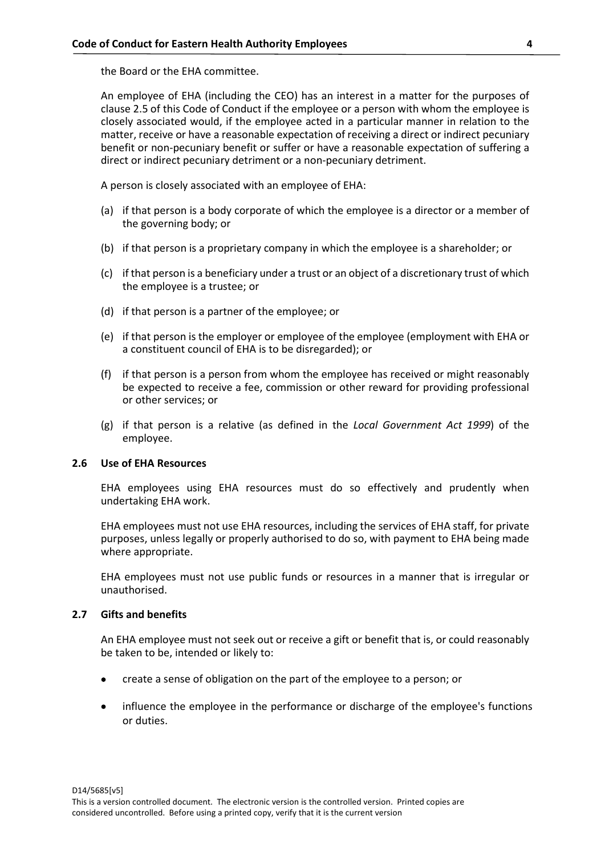the Board or the EHA committee.

An employee of EHA (including the CEO) has an interest in a matter for the purposes of clause 2.5 of this Code of Conduct if the employee or a person with whom the employee is closely associated would, if the employee acted in a particular manner in relation to the matter, receive or have a reasonable expectation of receiving a direct or indirect pecuniary benefit or non-pecuniary benefit or suffer or have a reasonable expectation of suffering a direct or indirect pecuniary detriment or a non-pecuniary detriment.

A person is closely associated with an employee of EHA:

- (a) if that person is a body corporate of which the employee is a director or a member of the governing body; or
- (b) if that person is a proprietary company in which the employee is a shareholder; or
- (c) if that person is a beneficiary under a trust or an object of a discretionary trust of which the employee is a trustee; or
- (d) if that person is a partner of the employee; or
- (e) if that person is the employer or employee of the employee (employment with EHA or a constituent council of EHA is to be disregarded); or
- (f) if that person is a person from whom the employee has received or might reasonably be expected to receive a fee, commission or other reward for providing professional or other services; or
- (g) if that person is a relative (as defined in the *Local Government Act 1999*) of the employee.

#### **2.6 Use of EHA Resources**

EHA employees using EHA resources must do so effectively and prudently when undertaking EHA work.

EHA employees must not use EHA resources, including the services of EHA staff, for private purposes, unless legally or properly authorised to do so, with payment to EHA being made where appropriate.

EHA employees must not use public funds or resources in a manner that is irregular or unauthorised.

#### **2.7 Gifts and benefits**

An EHA employee must not seek out or receive a gift or benefit that is, or could reasonably be taken to be, intended or likely to:

- create a sense of obligation on the part of the employee to a person; or
- influence the employee in the performance or discharge of the employee's functions or duties.